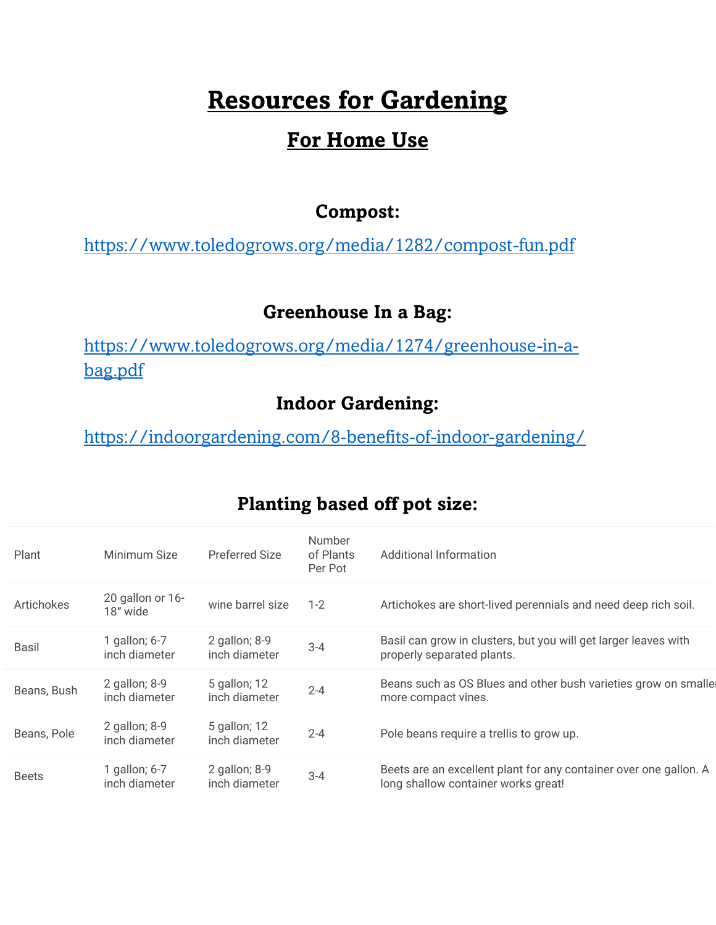# **Resources for Gardening**

# **For Home Use**

#### **Compost:**

<https://www.toledogrows.org/media/1282/compost-fun.pdf>

## **Greenhouse In a Bag:**

[https://www.toledogrows.org/media/1274/greenhouse-in-a](https://www.toledogrows.org/media/1274/greenhouse-in-a-bag.pdf)[bag.pdf](https://www.toledogrows.org/media/1274/greenhouse-in-a-bag.pdf)

# **Indoor Gardening:**

<https://indoorgardening.com/8-benefits-of-indoor-gardening/>

| Plant        | Minimum Size                     | <b>Preferred Size</b>          | <b>Number</b><br>of Plants<br>Per Pot | Additional Information                                                                                   |
|--------------|----------------------------------|--------------------------------|---------------------------------------|----------------------------------------------------------------------------------------------------------|
| Artichokes   | 20 gallon or 16-<br>18" wide     | wine barrel size               | $1 - 2$                               | Artichokes are short-lived perennials and need deep rich soil.                                           |
| Basil        | 1 gallon; 6-7<br>inch diameter   | 2 gallon; 8-9<br>inch diameter | $3 - 4$                               | Basil can grow in clusters, but you will get larger leaves with<br>properly separated plants.            |
| Beans, Bush  | 2 gallon; $8-9$<br>inch diameter | 5 gallon; 12<br>inch diameter  | $2 - 4$                               | Beans such as OS Blues and other bush varieties grow on smalle<br>more compact vines.                    |
| Beans, Pole  | 2 gallon; 8-9<br>inch diameter   | 5 gallon; 12<br>inch diameter  | $2 - 4$                               | Pole beans require a trellis to grow up.                                                                 |
| <b>Beets</b> | 1 gallon; 6-7<br>inch diameter   | 2 gallon; 8-9<br>inch diameter | $3 - 4$                               | Beets are an excellent plant for any container over one gallon. A<br>long shallow container works great! |

### **Planting based off pot size:**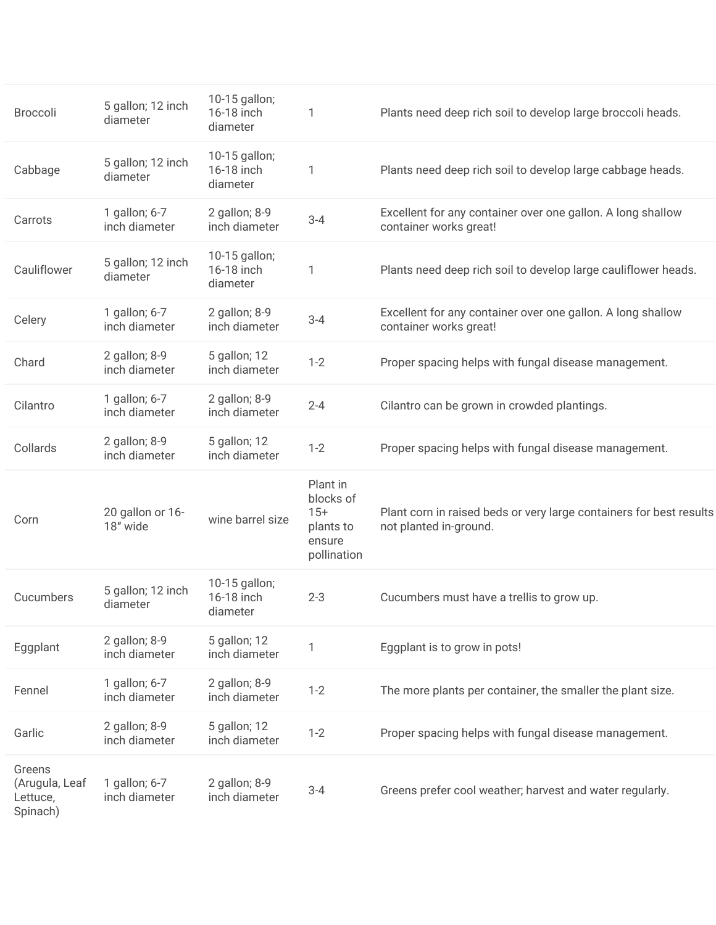| <b>Broccoli</b>                                  | 5 gallon; 12 inch<br>diameter  | 10-15 gallon;<br>16-18 inch<br>diameter | 1                                                                    | Plants need deep rich soil to develop large broccoli heads.                                   |
|--------------------------------------------------|--------------------------------|-----------------------------------------|----------------------------------------------------------------------|-----------------------------------------------------------------------------------------------|
| Cabbage                                          | 5 gallon; 12 inch<br>diameter  | 10-15 gallon;<br>16-18 inch<br>diameter | 1                                                                    | Plants need deep rich soil to develop large cabbage heads.                                    |
| Carrots                                          | 1 gallon; 6-7<br>inch diameter | 2 gallon; 8-9<br>inch diameter          | $3 - 4$                                                              | Excellent for any container over one gallon. A long shallow<br>container works great!         |
| Cauliflower                                      | 5 gallon; 12 inch<br>diameter  | 10-15 gallon;<br>16-18 inch<br>diameter | 1                                                                    | Plants need deep rich soil to develop large cauliflower heads.                                |
| Celery                                           | 1 gallon; 6-7<br>inch diameter | 2 gallon; 8-9<br>inch diameter          | $3 - 4$                                                              | Excellent for any container over one gallon. A long shallow<br>container works great!         |
| Chard                                            | 2 gallon; 8-9<br>inch diameter | 5 gallon; 12<br>inch diameter           | $1 - 2$                                                              | Proper spacing helps with fungal disease management.                                          |
| Cilantro                                         | 1 gallon; 6-7<br>inch diameter | 2 gallon; 8-9<br>inch diameter          | $2 - 4$                                                              | Cilantro can be grown in crowded plantings.                                                   |
| Collards                                         | 2 gallon; 8-9<br>inch diameter | 5 gallon; 12<br>inch diameter           | $1 - 2$                                                              | Proper spacing helps with fungal disease management.                                          |
| Corn                                             | 20 gallon or 16-<br>18" wide   | wine barrel size                        | Plant in<br>blocks of<br>$15+$<br>plants to<br>ensure<br>pollination | Plant corn in raised beds or very large containers for best results<br>not planted in-ground. |
| Cucumbers                                        | 5 gallon; 12 inch<br>diameter  | 10-15 gallon;<br>16-18 inch<br>diameter | $2 - 3$                                                              | Cucumbers must have a trellis to grow up.                                                     |
| Eggplant                                         | 2 gallon; 8-9<br>inch diameter | 5 gallon; 12<br>inch diameter           | 1                                                                    | Eggplant is to grow in pots!                                                                  |
| Fennel                                           | 1 gallon; 6-7<br>inch diameter | 2 gallon; 8-9<br>inch diameter          | $1 - 2$                                                              | The more plants per container, the smaller the plant size.                                    |
| Garlic                                           | 2 gallon; 8-9<br>inch diameter | 5 gallon; 12<br>inch diameter           | $1 - 2$                                                              | Proper spacing helps with fungal disease management.                                          |
| Greens<br>(Arugula, Leaf<br>Lettuce,<br>Spinach) | 1 gallon; 6-7<br>inch diameter | 2 gallon; 8-9<br>inch diameter          | $3 - 4$                                                              | Greens prefer cool weather; harvest and water regularly.                                      |